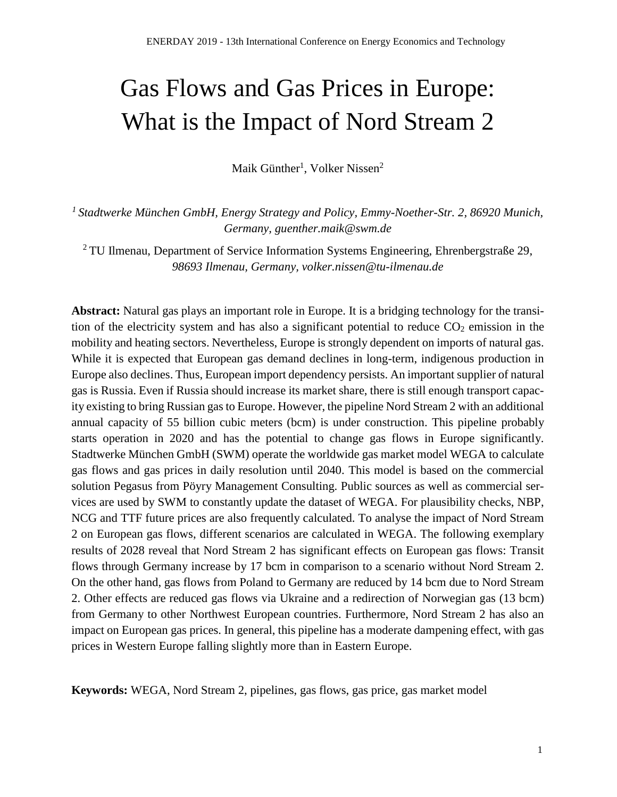# Gas Flows and Gas Prices in Europe: What is the Impact of Nord Stream 2

Maik Günther<sup>1</sup>, Volker Nissen<sup>2</sup>

*<sup>1</sup>Stadtwerke München GmbH, Energy Strategy and Policy, Emmy-Noether-Str. 2, 86920 Munich, Germany, guenther.maik@swm.de*

<sup>2</sup> TU Ilmenau, Department of Service Information Systems Engineering, Ehrenbergstraße 29, *98693 Ilmenau, Germany, volker.nissen@tu-ilmenau.de*

**Abstract:** Natural gas plays an important role in Europe. It is a bridging technology for the transition of the electricity system and has also a significant potential to reduce  $CO<sub>2</sub>$  emission in the mobility and heating sectors. Nevertheless, Europe is strongly dependent on imports of natural gas. While it is expected that European gas demand declines in long-term, indigenous production in Europe also declines. Thus, European import dependency persists. An important supplier of natural gas is Russia. Even if Russia should increase its market share, there is still enough transport capacity existing to bring Russian gas to Europe. However, the pipeline Nord Stream 2 with an additional annual capacity of 55 billion cubic meters (bcm) is under construction. This pipeline probably starts operation in 2020 and has the potential to change gas flows in Europe significantly. Stadtwerke München GmbH (SWM) operate the worldwide gas market model WEGA to calculate gas flows and gas prices in daily resolution until 2040. This model is based on the commercial solution Pegasus from Pöyry Management Consulting. Public sources as well as commercial services are used by SWM to constantly update the dataset of WEGA. For plausibility checks, NBP, NCG and TTF future prices are also frequently calculated. To analyse the impact of Nord Stream 2 on European gas flows, different scenarios are calculated in WEGA. The following exemplary results of 2028 reveal that Nord Stream 2 has significant effects on European gas flows: Transit flows through Germany increase by 17 bcm in comparison to a scenario without Nord Stream 2. On the other hand, gas flows from Poland to Germany are reduced by 14 bcm due to Nord Stream 2. Other effects are reduced gas flows via Ukraine and a redirection of Norwegian gas (13 bcm) from Germany to other Northwest European countries. Furthermore, Nord Stream 2 has also an impact on European gas prices. In general, this pipeline has a moderate dampening effect, with gas prices in Western Europe falling slightly more than in Eastern Europe.

**Keywords:** WEGA, Nord Stream 2, pipelines, gas flows, gas price, gas market model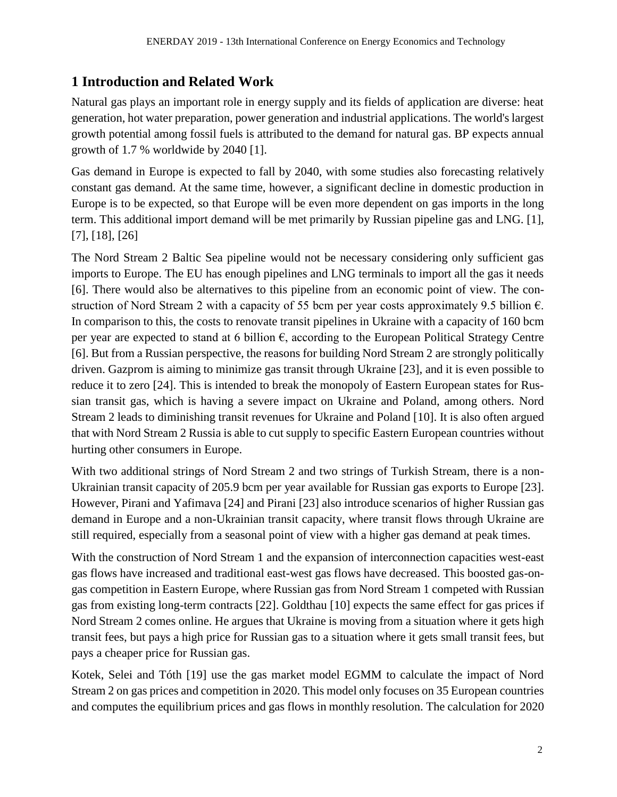## **1 Introduction and Related Work**

Natural gas plays an important role in energy supply and its fields of application are diverse: heat generation, hot water preparation, power generation and industrial applications. The world's largest growth potential among fossil fuels is attributed to the demand for natural gas. BP expects annual growth of 1.7 % worldwide by 2040 [1].

Gas demand in Europe is expected to fall by 2040, with some studies also forecasting relatively constant gas demand. At the same time, however, a significant decline in domestic production in Europe is to be expected, so that Europe will be even more dependent on gas imports in the long term. This additional import demand will be met primarily by Russian pipeline gas and LNG. [1], [7], [18], [26]

The Nord Stream 2 Baltic Sea pipeline would not be necessary considering only sufficient gas imports to Europe. The EU has enough pipelines and LNG terminals to import all the gas it needs [6]. There would also be alternatives to this pipeline from an economic point of view. The construction of Nord Stream 2 with a capacity of 55 bcm per year costs approximately 9.5 billion  $\epsilon$ . In comparison to this, the costs to renovate transit pipelines in Ukraine with a capacity of 160 bcm per year are expected to stand at 6 billion  $\epsilon$ , according to the European Political Strategy Centre [6]. But from a Russian perspective, the reasons for building Nord Stream 2 are strongly politically driven. Gazprom is aiming to minimize gas transit through Ukraine [23], and it is even possible to reduce it to zero [24]. This is intended to break the monopoly of Eastern European states for Russian transit gas, which is having a severe impact on Ukraine and Poland, among others. Nord Stream 2 leads to diminishing transit revenues for Ukraine and Poland [10]. It is also often argued that with Nord Stream 2 Russia is able to cut supply to specific Eastern European countries without hurting other consumers in Europe.

With two additional strings of Nord Stream 2 and two strings of Turkish Stream, there is a non-Ukrainian transit capacity of 205.9 bcm per year available for Russian gas exports to Europe [23]. However, Pirani and Yafimava [24] and Pirani [23] also introduce scenarios of higher Russian gas demand in Europe and a non-Ukrainian transit capacity, where transit flows through Ukraine are still required, especially from a seasonal point of view with a higher gas demand at peak times.

With the construction of Nord Stream 1 and the expansion of interconnection capacities west-east gas flows have increased and traditional east-west gas flows have decreased. This boosted gas-ongas competition in Eastern Europe, where Russian gas from Nord Stream 1 competed with Russian gas from existing long-term contracts [22]. Goldthau [10] expects the same effect for gas prices if Nord Stream 2 comes online. He argues that Ukraine is moving from a situation where it gets high transit fees, but pays a high price for Russian gas to a situation where it gets small transit fees, but pays a cheaper price for Russian gas.

Kotek, Selei and Tóth [19] use the gas market model EGMM to calculate the impact of Nord Stream 2 on gas prices and competition in 2020. This model only focuses on 35 European countries and computes the equilibrium prices and gas flows in monthly resolution. The calculation for 2020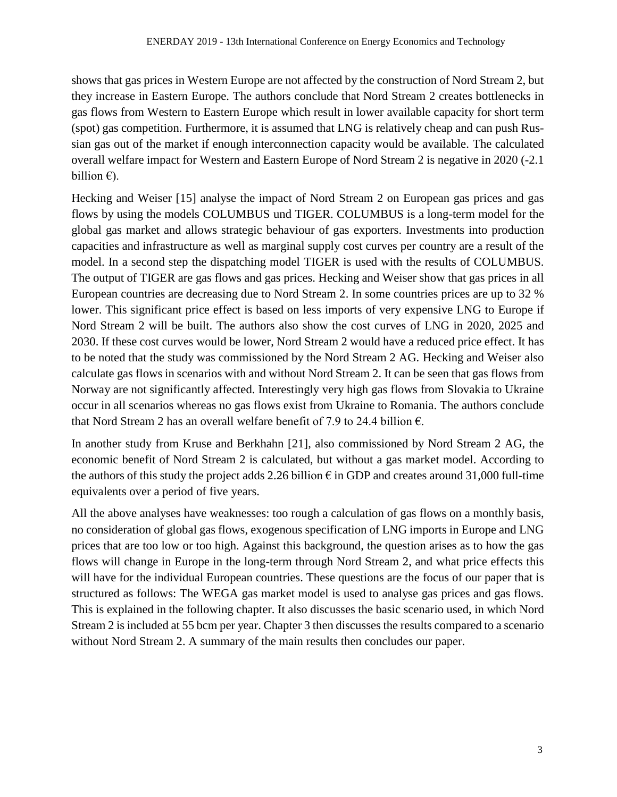shows that gas prices in Western Europe are not affected by the construction of Nord Stream 2, but they increase in Eastern Europe. The authors conclude that Nord Stream 2 creates bottlenecks in gas flows from Western to Eastern Europe which result in lower available capacity for short term (spot) gas competition. Furthermore, it is assumed that LNG is relatively cheap and can push Russian gas out of the market if enough interconnection capacity would be available. The calculated overall welfare impact for Western and Eastern Europe of Nord Stream 2 is negative in 2020 (-2.1 billion  $\epsilon$ ).

Hecking and Weiser [15] analyse the impact of Nord Stream 2 on European gas prices and gas flows by using the models COLUMBUS und TIGER. COLUMBUS is a long-term model for the global gas market and allows strategic behaviour of gas exporters. Investments into production capacities and infrastructure as well as marginal supply cost curves per country are a result of the model. In a second step the dispatching model TIGER is used with the results of COLUMBUS. The output of TIGER are gas flows and gas prices. Hecking and Weiser show that gas prices in all European countries are decreasing due to Nord Stream 2. In some countries prices are up to 32 % lower. This significant price effect is based on less imports of very expensive LNG to Europe if Nord Stream 2 will be built. The authors also show the cost curves of LNG in 2020, 2025 and 2030. If these cost curves would be lower, Nord Stream 2 would have a reduced price effect. It has to be noted that the study was commissioned by the Nord Stream 2 AG. Hecking and Weiser also calculate gas flows in scenarios with and without Nord Stream 2. It can be seen that gas flows from Norway are not significantly affected. Interestingly very high gas flows from Slovakia to Ukraine occur in all scenarios whereas no gas flows exist from Ukraine to Romania. The authors conclude that Nord Stream 2 has an overall welfare benefit of 7.9 to 24.4 billion  $\epsilon$ .

In another study from Kruse and Berkhahn [21], also commissioned by Nord Stream 2 AG, the economic benefit of Nord Stream 2 is calculated, but without a gas market model. According to the authors of this study the project adds 2.26 billion  $\epsilon$  in GDP and creates around 31,000 full-time equivalents over a period of five years.

All the above analyses have weaknesses: too rough a calculation of gas flows on a monthly basis, no consideration of global gas flows, exogenous specification of LNG imports in Europe and LNG prices that are too low or too high. Against this background, the question arises as to how the gas flows will change in Europe in the long-term through Nord Stream 2, and what price effects this will have for the individual European countries. These questions are the focus of our paper that is structured as follows: The WEGA gas market model is used to analyse gas prices and gas flows. This is explained in the following chapter. It also discusses the basic scenario used, in which Nord Stream 2 is included at 55 bcm per year. Chapter 3 then discusses the results compared to a scenario without Nord Stream 2. A summary of the main results then concludes our paper.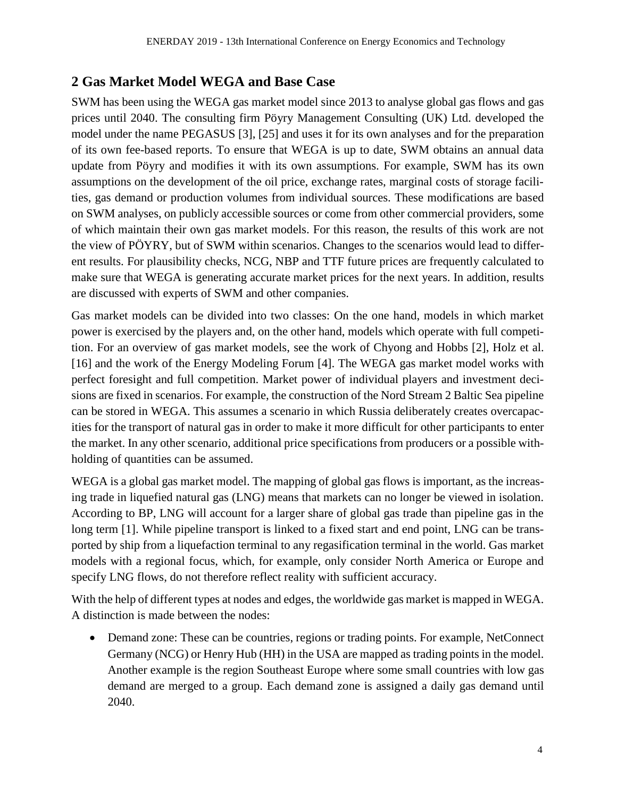## **2 Gas Market Model WEGA and Base Case**

SWM has been using the WEGA gas market model since 2013 to analyse global gas flows and gas prices until 2040. The consulting firm Pöyry Management Consulting (UK) Ltd. developed the model under the name PEGASUS [3], [25] and uses it for its own analyses and for the preparation of its own fee-based reports. To ensure that WEGA is up to date, SWM obtains an annual data update from Pöyry and modifies it with its own assumptions. For example, SWM has its own assumptions on the development of the oil price, exchange rates, marginal costs of storage facilities, gas demand or production volumes from individual sources. These modifications are based on SWM analyses, on publicly accessible sources or come from other commercial providers, some of which maintain their own gas market models. For this reason, the results of this work are not the view of PÖYRY, but of SWM within scenarios. Changes to the scenarios would lead to different results. For plausibility checks, NCG, NBP and TTF future prices are frequently calculated to make sure that WEGA is generating accurate market prices for the next years. In addition, results are discussed with experts of SWM and other companies.

Gas market models can be divided into two classes: On the one hand, models in which market power is exercised by the players and, on the other hand, models which operate with full competition. For an overview of gas market models, see the work of Chyong and Hobbs [2], Holz et al. [16] and the work of the Energy Modeling Forum [4]. The WEGA gas market model works with perfect foresight and full competition. Market power of individual players and investment decisions are fixed in scenarios. For example, the construction of the Nord Stream 2 Baltic Sea pipeline can be stored in WEGA. This assumes a scenario in which Russia deliberately creates overcapacities for the transport of natural gas in order to make it more difficult for other participants to enter the market. In any other scenario, additional price specifications from producers or a possible withholding of quantities can be assumed.

WEGA is a global gas market model. The mapping of global gas flows is important, as the increasing trade in liquefied natural gas (LNG) means that markets can no longer be viewed in isolation. According to BP, LNG will account for a larger share of global gas trade than pipeline gas in the long term [1]. While pipeline transport is linked to a fixed start and end point, LNG can be transported by ship from a liquefaction terminal to any regasification terminal in the world. Gas market models with a regional focus, which, for example, only consider North America or Europe and specify LNG flows, do not therefore reflect reality with sufficient accuracy.

With the help of different types at nodes and edges, the worldwide gas market is mapped in WEGA. A distinction is made between the nodes:

• Demand zone: These can be countries, regions or trading points. For example, NetConnect Germany (NCG) or Henry Hub (HH) in the USA are mapped as trading points in the model. Another example is the region Southeast Europe where some small countries with low gas demand are merged to a group. Each demand zone is assigned a daily gas demand until 2040.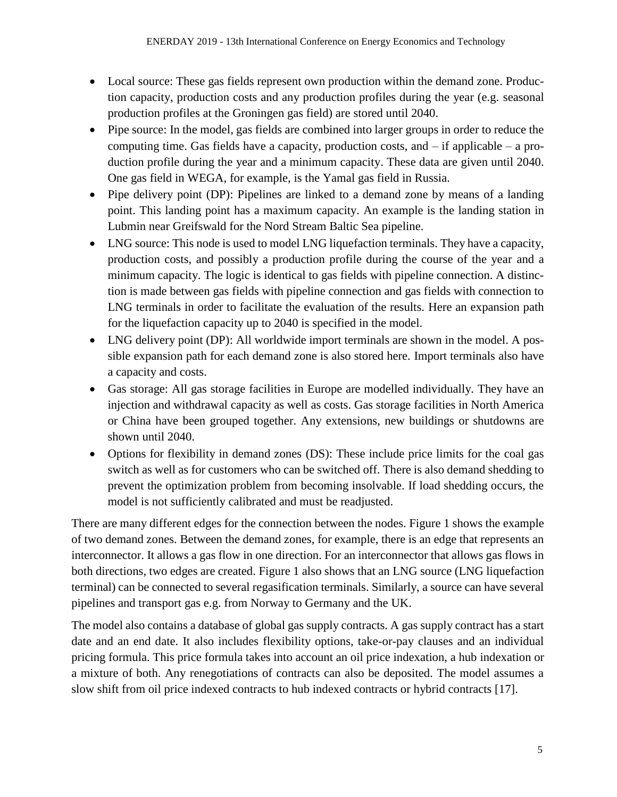- Local source: These gas fields represent own production within the demand zone. Production capacity, production costs and any production profiles during the year (e.g. seasonal production profiles at the Groningen gas field) are stored until 2040.
- Pipe source: In the model, gas fields are combined into larger groups in order to reduce the computing time. Gas fields have a capacity, production costs, and – if applicable – a production profile during the year and a minimum capacity. These data are given until 2040. One gas field in WEGA, for example, is the Yamal gas field in Russia.
- Pipe delivery point (DP): Pipelines are linked to a demand zone by means of a landing point. This landing point has a maximum capacity. An example is the landing station in Lubmin near Greifswald for the Nord Stream Baltic Sea pipeline.
- LNG source: This node is used to model LNG liquefaction terminals. They have a capacity, production costs, and possibly a production profile during the course of the year and a minimum capacity. The logic is identical to gas fields with pipeline connection. A distinction is made between gas fields with pipeline connection and gas fields with connection to LNG terminals in order to facilitate the evaluation of the results. Here an expansion path for the liquefaction capacity up to 2040 is specified in the model.
- LNG delivery point (DP): All worldwide import terminals are shown in the model. A possible expansion path for each demand zone is also stored here. Import terminals also have a capacity and costs.
- Gas storage: All gas storage facilities in Europe are modelled individually. They have an injection and withdrawal capacity as well as costs. Gas storage facilities in North America or China have been grouped together. Any extensions, new buildings or shutdowns are shown until 2040.
- Options for flexibility in demand zones (DS): These include price limits for the coal gas switch as well as for customers who can be switched off. There is also demand shedding to prevent the optimization problem from becoming insolvable. If load shedding occurs, the model is not sufficiently calibrated and must be readjusted.

There are many different edges for the connection between the nodes. Figure 1 shows the example of two demand zones. Between the demand zones, for example, there is an edge that represents an interconnector. It allows a gas flow in one direction. For an interconnector that allows gas flows in both directions, two edges are created. Figure 1 also shows that an LNG source (LNG liquefaction terminal) can be connected to several regasification terminals. Similarly, a source can have several pipelines and transport gas e.g. from Norway to Germany and the UK.

The model also contains a database of global gas supply contracts. A gas supply contract has a start date and an end date. It also includes flexibility options, take-or-pay clauses and an individual pricing formula. This price formula takes into account an oil price indexation, a hub indexation or a mixture of both. Any renegotiations of contracts can also be deposited. The model assumes a slow shift from oil price indexed contracts to hub indexed contracts or hybrid contracts [17].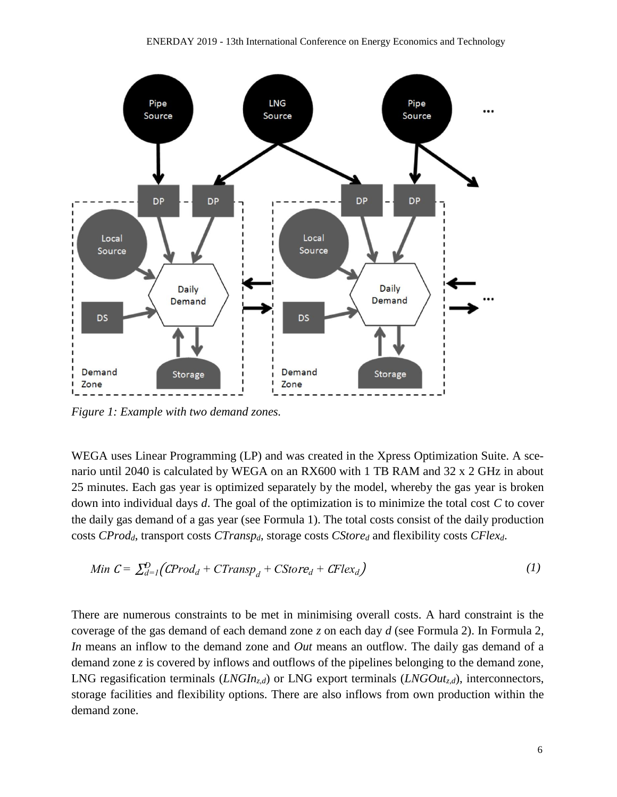

*Figure 1: Example with two demand zones.*

WEGA uses Linear Programming (LP) and was created in the Xpress Optimization Suite. A scenario until 2040 is calculated by WEGA on an RX600 with 1 TB RAM and 32 x 2 GHz in about 25 minutes. Each gas year is optimized separately by the model, whereby the gas year is broken down into individual days *d*. The goal of the optimization is to minimize the total cost *C* to cover the daily gas demand of a gas year (see Formula 1). The total costs consist of the daily production costs *CProdd*, transport costs *CTranspd*, storage costs *CStore<sup>d</sup>* and flexibility costs *CFlexd*.

Min 
$$
C = \sum_{d=1}^{D} (CProd_d + CTransp_d + CStore_d + CFlex_d)
$$
 (1)

There are numerous constraints to be met in minimising overall costs. A hard constraint is the coverage of the gas demand of each demand zone *z* on each day *d* (see Formula 2). In Formula 2, *In* means an inflow to the demand zone and *Out* means an outflow. The daily gas demand of a demand zone *z* is covered by inflows and outflows of the pipelines belonging to the demand zone, LNG regasification terminals (*LNGInz,d*) or LNG export terminals (*LNGOutz,d*), interconnectors, storage facilities and flexibility options. There are also inflows from own production within the demand zone.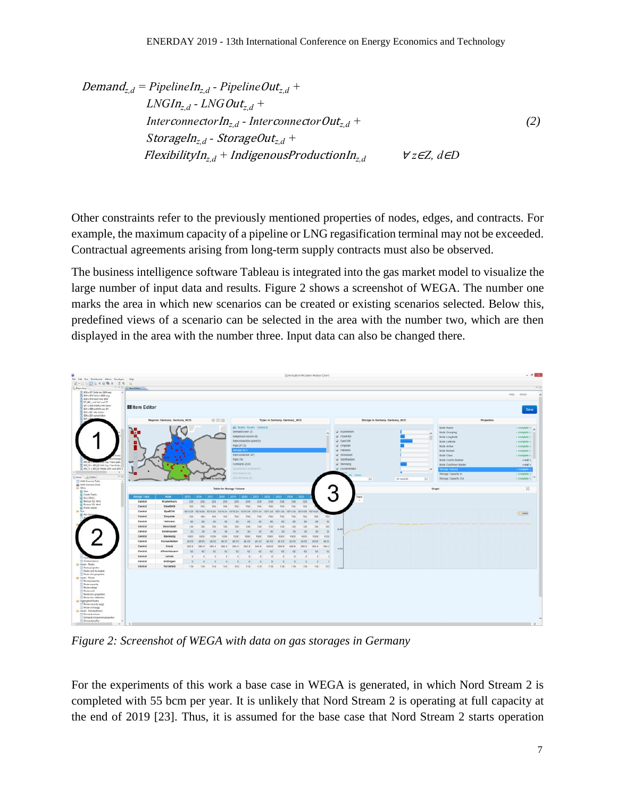Demand<sub>z,d</sub> = *Pipeline* 
$$
In_{z,d}
$$
 - *Pipeline*  $Out_{z,d}$  +

\n $LNGIn_{z,d}$  -  $LNGOut_{z,d}$  +

\n $Inter\,code> conne\,\code>ctor$   $In_{z,d}$  -  $Inter\,code> conne\,code>ctor$   $Out_{z,d}$  +

\n $Storageln_{z,d}$  -  $StorageOut_{z,d}$  +

\n $FlexibilityIn_{z,d} + IndigenousProductionIn_{z,d}$ 

\n $\forall z \in Z, d \in D$ 

Other constraints refer to the previously mentioned properties of nodes, edges, and contracts. For example, the maximum capacity of a pipeline or LNG regasification terminal may not be exceeded. Contractual agreements arising from long-term supply contracts must also be observed.

The business intelligence software Tableau is integrated into the gas market model to visualize the large number of input data and results. Figure 2 shows a screenshot of WEGA. The number one marks the area in which new scenarios can be created or existing scenarios selected. Below this, predefined views of a scenario can be selected in the area with the number two, which are then displayed in the area with the number three. Input data can also be changed there.



*Figure 2: Screenshot of WEGA with data on gas storages in Germany*

For the experiments of this work a base case in WEGA is generated, in which Nord Stream 2 is completed with 55 bcm per year. It is unlikely that Nord Stream 2 is operating at full capacity at the end of 2019 [23]. Thus, it is assumed for the base case that Nord Stream 2 starts operation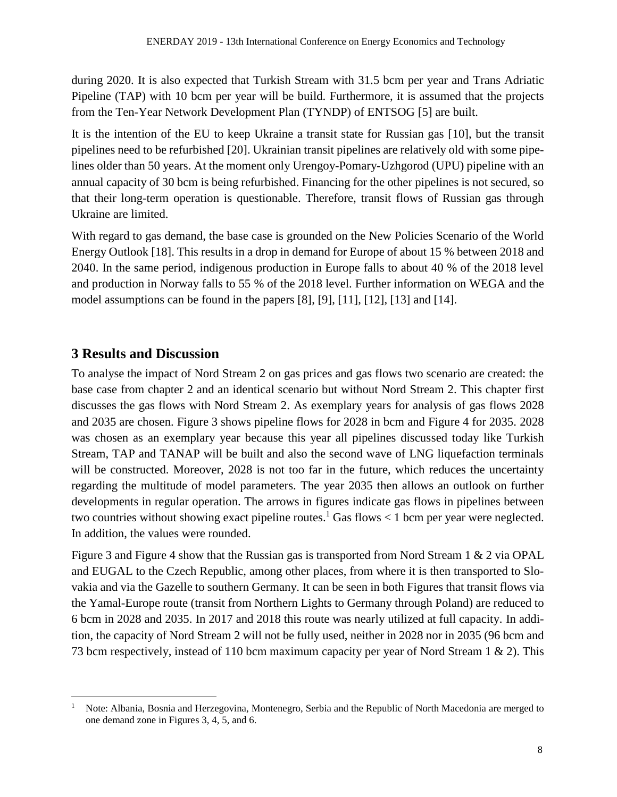during 2020. It is also expected that Turkish Stream with 31.5 bcm per year and Trans Adriatic Pipeline (TAP) with 10 bcm per year will be build. Furthermore, it is assumed that the projects from the Ten-Year Network Development Plan (TYNDP) of ENTSOG [5] are built.

It is the intention of the EU to keep Ukraine a transit state for Russian gas [10], but the transit pipelines need to be refurbished [20]. Ukrainian transit pipelines are relatively old with some pipelines older than 50 years. At the moment only Urengoy-Pomary-Uzhgorod (UPU) pipeline with an annual capacity of 30 bcm is being refurbished. Financing for the other pipelines is not secured, so that their long-term operation is questionable. Therefore, transit flows of Russian gas through Ukraine are limited.

With regard to gas demand, the base case is grounded on the New Policies Scenario of the World Energy Outlook [18]. This results in a drop in demand for Europe of about 15 % between 2018 and 2040. In the same period, indigenous production in Europe falls to about 40 % of the 2018 level and production in Norway falls to 55 % of the 2018 level. Further information on WEGA and the model assumptions can be found in the papers [8], [9], [11], [12], [13] and [14].

### **3 Results and Discussion**

<u>.</u>

To analyse the impact of Nord Stream 2 on gas prices and gas flows two scenario are created: the base case from chapter 2 and an identical scenario but without Nord Stream 2. This chapter first discusses the gas flows with Nord Stream 2. As exemplary years for analysis of gas flows 2028 and 2035 are chosen. Figure 3 shows pipeline flows for 2028 in bcm and Figure 4 for 2035. 2028 was chosen as an exemplary year because this year all pipelines discussed today like Turkish Stream, TAP and TANAP will be built and also the second wave of LNG liquefaction terminals will be constructed. Moreover, 2028 is not too far in the future, which reduces the uncertainty regarding the multitude of model parameters. The year 2035 then allows an outlook on further developments in regular operation. The arrows in figures indicate gas flows in pipelines between two countries without showing exact pipeline routes.<sup>1</sup> Gas flows  $< 1$  bcm per year were neglected. In addition, the values were rounded.

Figure 3 and Figure 4 show that the Russian gas is transported from Nord Stream 1 & 2 via OPAL and EUGAL to the Czech Republic, among other places, from where it is then transported to Slovakia and via the Gazelle to southern Germany. It can be seen in both Figures that transit flows via the Yamal-Europe route (transit from Northern Lights to Germany through Poland) are reduced to 6 bcm in 2028 and 2035. In 2017 and 2018 this route was nearly utilized at full capacity. In addition, the capacity of Nord Stream 2 will not be fully used, neither in 2028 nor in 2035 (96 bcm and 73 bcm respectively, instead of 110 bcm maximum capacity per year of Nord Stream 1 & 2). This

<sup>&</sup>lt;sup>1</sup> Note: Albania, Bosnia and Herzegovina, Montenegro, Serbia and the Republic of North Macedonia are merged to one demand zone in Figures 3, 4, 5, and 6.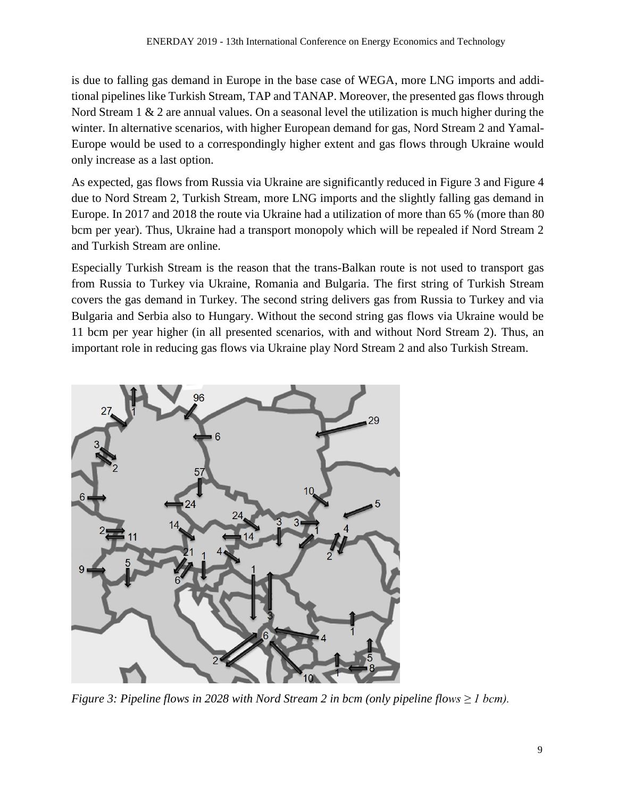is due to falling gas demand in Europe in the base case of WEGA, more LNG imports and additional pipelines like Turkish Stream, TAP and TANAP. Moreover, the presented gas flows through Nord Stream 1  $\&$  2 are annual values. On a seasonal level the utilization is much higher during the winter. In alternative scenarios, with higher European demand for gas, Nord Stream 2 and Yamal-Europe would be used to a correspondingly higher extent and gas flows through Ukraine would only increase as a last option.

As expected, gas flows from Russia via Ukraine are significantly reduced in Figure 3 and Figure 4 due to Nord Stream 2, Turkish Stream, more LNG imports and the slightly falling gas demand in Europe. In 2017 and 2018 the route via Ukraine had a utilization of more than 65 % (more than 80 bcm per year). Thus, Ukraine had a transport monopoly which will be repealed if Nord Stream 2 and Turkish Stream are online.

Especially Turkish Stream is the reason that the trans-Balkan route is not used to transport gas from Russia to Turkey via Ukraine, Romania and Bulgaria. The first string of Turkish Stream covers the gas demand in Turkey. The second string delivers gas from Russia to Turkey and via Bulgaria and Serbia also to Hungary. Without the second string gas flows via Ukraine would be 11 bcm per year higher (in all presented scenarios, with and without Nord Stream 2). Thus, an important role in reducing gas flows via Ukraine play Nord Stream 2 and also Turkish Stream.



*Figure 3: Pipeline flows in 2028 with Nord Stream 2 in bcm (only pipeline flows ≥ 1 bcm).*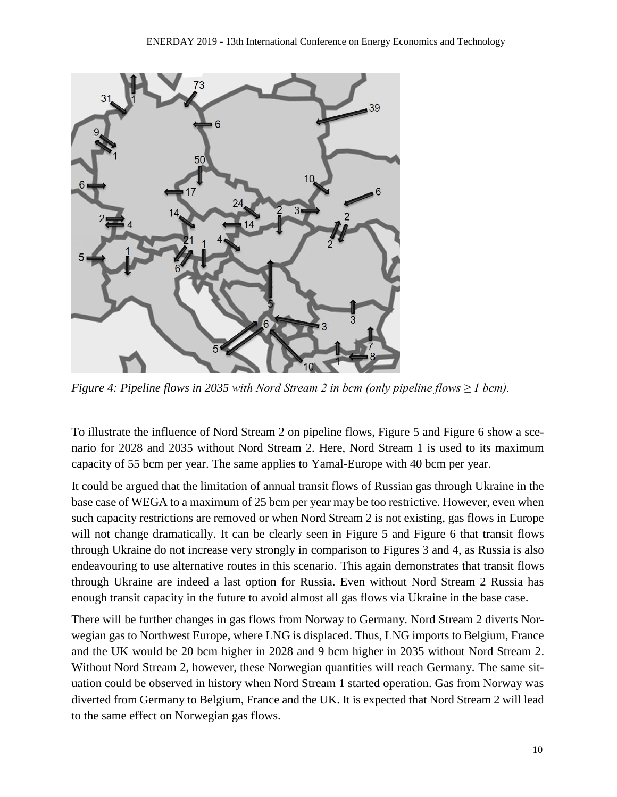

*Figure 4: Pipeline flows in 2035 with Nord Stream 2 in bcm (only pipeline flows ≥ 1 bcm).*

To illustrate the influence of Nord Stream 2 on pipeline flows, Figure 5 and Figure 6 show a scenario for 2028 and 2035 without Nord Stream 2. Here, Nord Stream 1 is used to its maximum capacity of 55 bcm per year. The same applies to Yamal-Europe with 40 bcm per year.

It could be argued that the limitation of annual transit flows of Russian gas through Ukraine in the base case of WEGA to a maximum of 25 bcm per year may be too restrictive. However, even when such capacity restrictions are removed or when Nord Stream 2 is not existing, gas flows in Europe will not change dramatically. It can be clearly seen in Figure 5 and Figure 6 that transit flows through Ukraine do not increase very strongly in comparison to Figures 3 and 4, as Russia is also endeavouring to use alternative routes in this scenario. This again demonstrates that transit flows through Ukraine are indeed a last option for Russia. Even without Nord Stream 2 Russia has enough transit capacity in the future to avoid almost all gas flows via Ukraine in the base case.

There will be further changes in gas flows from Norway to Germany. Nord Stream 2 diverts Norwegian gas to Northwest Europe, where LNG is displaced. Thus, LNG imports to Belgium, France and the UK would be 20 bcm higher in 2028 and 9 bcm higher in 2035 without Nord Stream 2. Without Nord Stream 2, however, these Norwegian quantities will reach Germany. The same situation could be observed in history when Nord Stream 1 started operation. Gas from Norway was diverted from Germany to Belgium, France and the UK. It is expected that Nord Stream 2 will lead to the same effect on Norwegian gas flows.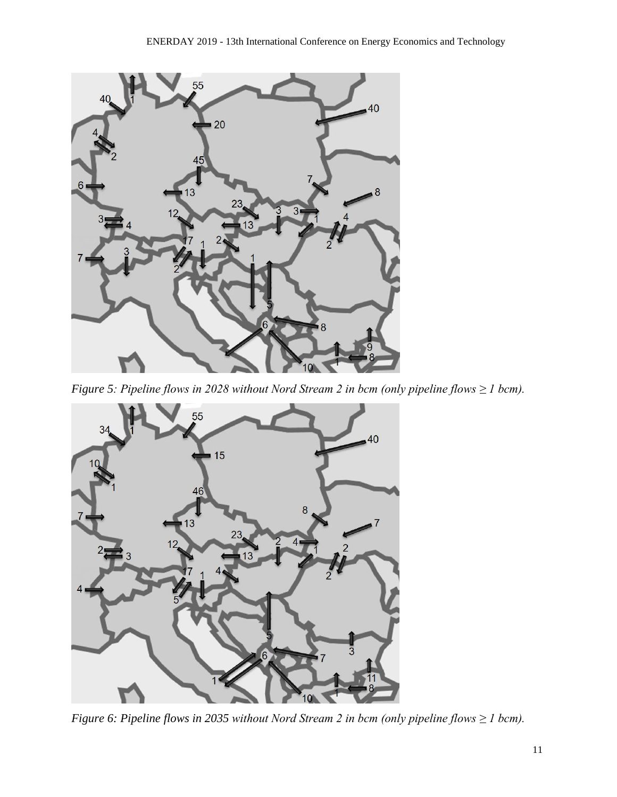

*Figure 5: Pipeline flows in 2028 without Nord Stream 2 in bcm (only pipeline flows ≥ 1 bcm).*



*Figure 6: Pipeline flows in 2035 without Nord Stream 2 in bcm (only pipeline flows ≥ 1 bcm).*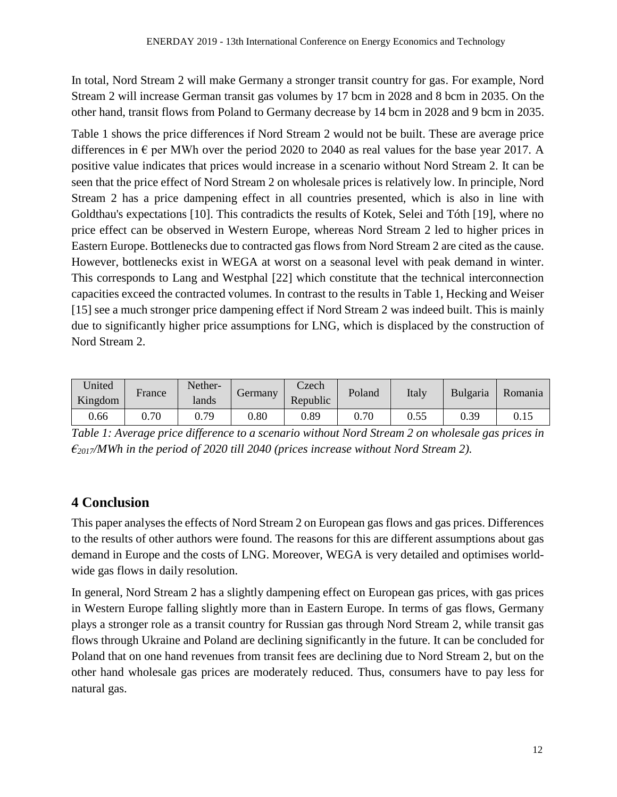In total, Nord Stream 2 will make Germany a stronger transit country for gas. For example, Nord Stream 2 will increase German transit gas volumes by 17 bcm in 2028 and 8 bcm in 2035. On the other hand, transit flows from Poland to Germany decrease by 14 bcm in 2028 and 9 bcm in 2035.

Table 1 shows the price differences if Nord Stream 2 would not be built. These are average price differences in  $\epsilon$  per MWh over the period 2020 to 2040 as real values for the base year 2017. A positive value indicates that prices would increase in a scenario without Nord Stream 2. It can be seen that the price effect of Nord Stream 2 on wholesale prices is relatively low. In principle, Nord Stream 2 has a price dampening effect in all countries presented, which is also in line with Goldthau's expectations [10]. This contradicts the results of Kotek, Selei and Tóth [19], where no price effect can be observed in Western Europe, whereas Nord Stream 2 led to higher prices in Eastern Europe. Bottlenecks due to contracted gas flows from Nord Stream 2 are cited as the cause. However, bottlenecks exist in WEGA at worst on a seasonal level with peak demand in winter. This corresponds to Lang and Westphal [22] which constitute that the technical interconnection capacities exceed the contracted volumes. In contrast to the results in Table 1, Hecking and Weiser [15] see a much stronger price dampening effect if Nord Stream 2 was indeed built. This is mainly due to significantly higher price assumptions for LNG, which is displaced by the construction of Nord Stream 2.

| United<br>Kingdom | France | Nether-<br>lands | Germany | Czech<br>Republic | Poland | Italy | <b>Bulgaria</b> | Romania |
|-------------------|--------|------------------|---------|-------------------|--------|-------|-----------------|---------|
| 0.66              | 0.70   | 0.79             | 0.80    | 0.89              | 0.70   | 0.55  | 0.39            | 0.15    |

*Table 1: Average price difference to a scenario without Nord Stream 2 on wholesale gas prices in €2017/MWh in the period of 2020 till 2040 (prices increase without Nord Stream 2).*

## **4 Conclusion**

This paper analyses the effects of Nord Stream 2 on European gas flows and gas prices. Differences to the results of other authors were found. The reasons for this are different assumptions about gas demand in Europe and the costs of LNG. Moreover, WEGA is very detailed and optimises worldwide gas flows in daily resolution.

In general, Nord Stream 2 has a slightly dampening effect on European gas prices, with gas prices in Western Europe falling slightly more than in Eastern Europe. In terms of gas flows, Germany plays a stronger role as a transit country for Russian gas through Nord Stream 2, while transit gas flows through Ukraine and Poland are declining significantly in the future. It can be concluded for Poland that on one hand revenues from transit fees are declining due to Nord Stream 2, but on the other hand wholesale gas prices are moderately reduced. Thus, consumers have to pay less for natural gas.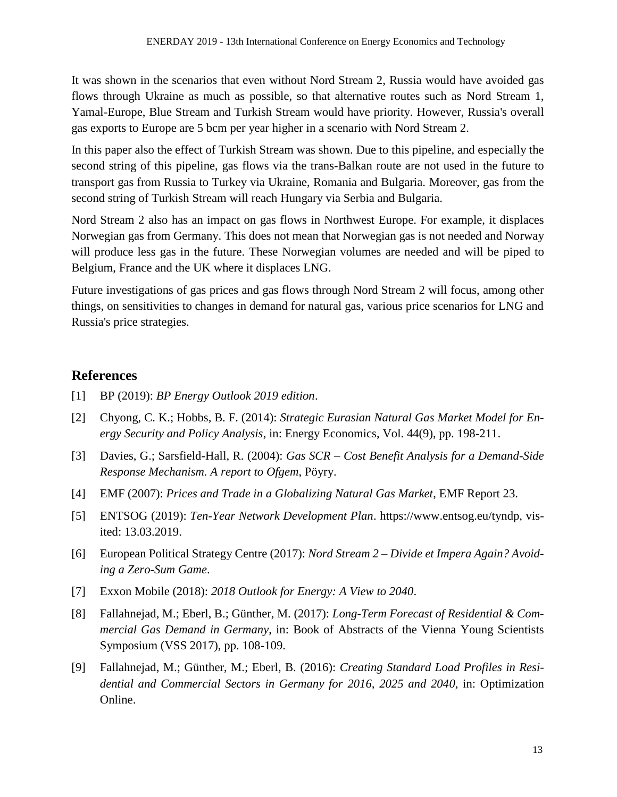It was shown in the scenarios that even without Nord Stream 2, Russia would have avoided gas flows through Ukraine as much as possible, so that alternative routes such as Nord Stream 1, Yamal-Europe, Blue Stream and Turkish Stream would have priority. However, Russia's overall gas exports to Europe are 5 bcm per year higher in a scenario with Nord Stream 2.

In this paper also the effect of Turkish Stream was shown. Due to this pipeline, and especially the second string of this pipeline, gas flows via the trans-Balkan route are not used in the future to transport gas from Russia to Turkey via Ukraine, Romania and Bulgaria. Moreover, gas from the second string of Turkish Stream will reach Hungary via Serbia and Bulgaria.

Nord Stream 2 also has an impact on gas flows in Northwest Europe. For example, it displaces Norwegian gas from Germany. This does not mean that Norwegian gas is not needed and Norway will produce less gas in the future. These Norwegian volumes are needed and will be piped to Belgium, France and the UK where it displaces LNG.

Future investigations of gas prices and gas flows through Nord Stream 2 will focus, among other things, on sensitivities to changes in demand for natural gas, various price scenarios for LNG and Russia's price strategies.

#### **References**

- [1] BP (2019): *BP Energy Outlook 2019 edition*.
- [2] Chyong, C. K.; Hobbs, B. F. (2014): *Strategic Eurasian Natural Gas Market Model for Energy Security and Policy Analysis*, in: Energy Economics, Vol. 44(9), pp. 198-211.
- [3] Davies, G.; Sarsfield-Hall, R. (2004): *Gas SCR – Cost Benefit Analysis for a Demand-Side Response Mechanism. A report to Ofgem*, Pöyry.
- [4] EMF (2007): *Prices and Trade in a Globalizing Natural Gas Market*, EMF Report 23.
- [5] ENTSOG (2019): *Ten-Year Network Development Plan*. https://www.entsog.eu/tyndp, visited: 13.03.2019.
- [6] European Political Strategy Centre (2017): *Nord Stream 2 – Divide et Impera Again? Avoiding a Zero-Sum Game*.
- [7] Exxon Mobile (2018): *2018 Outlook for Energy: A View to 2040*.
- [8] Fallahnejad, M.; Eberl, B.; Günther, M. (2017): *Long-Term Forecast of Residential & Commercial Gas Demand in Germany*, in: Book of Abstracts of the Vienna Young Scientists Symposium (VSS 2017), pp. 108-109.
- [9] Fallahnejad, M.; Günther, M.; Eberl, B. (2016): *Creating Standard Load Profiles in Residential and Commercial Sectors in Germany for 2016, 2025 and 2040*, in: Optimization Online.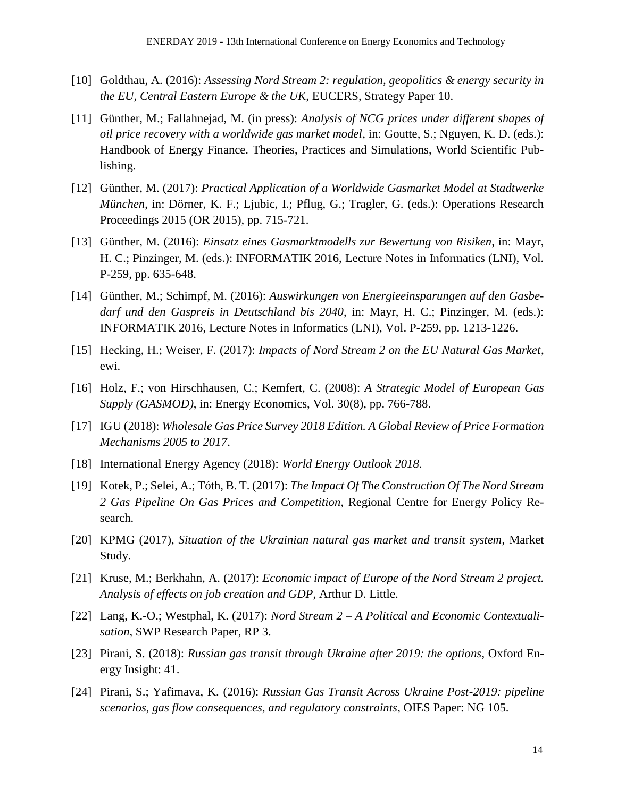- [10] Goldthau, A. (2016): *Assessing Nord Stream 2: regulation, geopolitics & energy security in the EU, Central Eastern Europe & the UK*, EUCERS, Strategy Paper 10.
- [11] Günther, M.; Fallahnejad, M. (in press): *Analysis of NCG prices under different shapes of oil price recovery with a worldwide gas market model*, in: Goutte, S.; Nguyen, K. D. (eds.): Handbook of Energy Finance. Theories, Practices and Simulations, World Scientific Publishing.
- [12] Günther, M. (2017): *Practical Application of a Worldwide Gasmarket Model at Stadtwerke München*, in: Dörner, K. F.; Ljubic, I.; Pflug, G.; Tragler, G. (eds.): Operations Research Proceedings 2015 (OR 2015), pp. 715-721.
- [13] Günther, M. (2016): *Einsatz eines Gasmarktmodells zur Bewertung von Risiken*, in: Mayr, H. C.; Pinzinger, M. (eds.): INFORMATIK 2016, Lecture Notes in Informatics (LNI), Vol. P-259, pp. 635-648.
- [14] Günther, M.; Schimpf, M. (2016): *Auswirkungen von Energieeinsparungen auf den Gasbedarf und den Gaspreis in Deutschland bis 2040*, in: Mayr, H. C.; Pinzinger, M. (eds.): INFORMATIK 2016, Lecture Notes in Informatics (LNI), Vol. P-259, pp. 1213-1226.
- [15] Hecking, H.; Weiser, F. (2017): *Impacts of Nord Stream 2 on the EU Natural Gas Market*, ewi.
- [16] Holz, F.; von Hirschhausen, C.; Kemfert, C. (2008): *A Strategic Model of European Gas Supply (GASMOD)*, in: Energy Economics, Vol. 30(8), pp. 766-788.
- [17] IGU (2018): *Wholesale Gas Price Survey 2018 Edition. A Global Review of Price Formation Mechanisms 2005 to 2017*.
- [18] International Energy Agency (2018): *World Energy Outlook 2018*.
- [19] Kotek, P.; Selei, A.; Tóth, B. T. (2017): *The Impact Of The Construction Of The Nord Stream 2 Gas Pipeline On Gas Prices and Competition*, Regional Centre for Energy Policy Research.
- [20] KPMG (2017), *Situation of the Ukrainian natural gas market and transit system*, Market Study.
- [21] Kruse, M.; Berkhahn, A. (2017): *Economic impact of Europe of the Nord Stream 2 project. Analysis of effects on job creation and GDP*, Arthur D. Little.
- [22] Lang, K.-O.; Westphal, K. (2017): *Nord Stream 2 – A Political and Economic Contextualisation*, SWP Research Paper, RP 3.
- [23] Pirani, S. (2018): *Russian gas transit through Ukraine after 2019: the options*, Oxford Energy Insight: 41.
- [24] Pirani, S.; Yafimava, K. (2016): *Russian Gas Transit Across Ukraine Post-2019: pipeline scenarios, gas flow consequences, and regulatory constraints*, OIES Paper: NG 105.